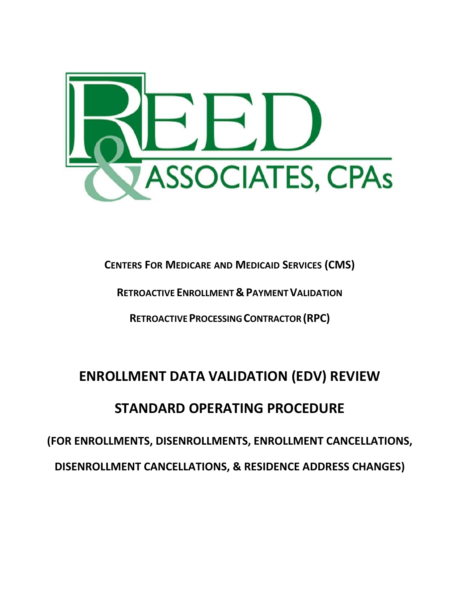

**CENTERS FOR MEDICARE AND MEDICAID SERVICES (CMS)**

**RETROACTIVE ENROLLMENT&PAYMENTVALIDATION**

**RETROACTIVEPROCESSINGCONTRACTOR(RPC)**

# **ENROLLMENT DATA VALIDATION (EDV) REVIEW**

# **STANDARD OPERATING PROCEDURE**

**(FOR ENROLLMENTS, DISENROLLMENTS, ENROLLMENT CANCELLATIONS, DISENROLLMENT CANCELLATIONS, & RESIDENCE ADDRESS CHANGES)**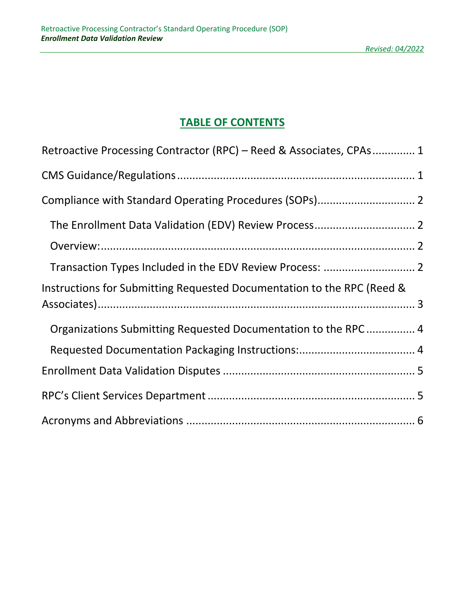# **TABLE OF CONTENTS**

| Retroactive Processing Contractor (RPC) - Reed & Associates, CPAs 1    |  |
|------------------------------------------------------------------------|--|
|                                                                        |  |
|                                                                        |  |
|                                                                        |  |
|                                                                        |  |
|                                                                        |  |
| Instructions for Submitting Requested Documentation to the RPC (Reed & |  |
| Organizations Submitting Requested Documentation to the RPC  4         |  |
|                                                                        |  |
|                                                                        |  |
|                                                                        |  |
|                                                                        |  |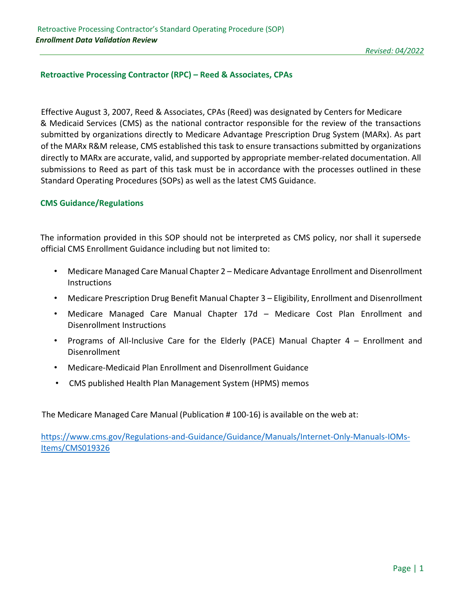# <span id="page-2-0"></span>**Retroactive Processing Contractor (RPC) – Reed & Associates, CPAs**

Effective August 3, 2007, Reed & Associates, CPAs (Reed) was designated by Centers for Medicare & Medicaid Services (CMS) as the national contractor responsible for the review of the transactions submitted by organizations directly to Medicare Advantage Prescription Drug System (MARx). As part of the MARx R&M release, CMS established this task to ensure transactions submitted by organizations directly to MARx are accurate, valid, and supported by appropriate member‐related documentation. All submissions to Reed as part of this task must be in accordance with the processes outlined in these Standard Operating Procedures (SOPs) as well as the latest CMS Guidance.

#### <span id="page-2-1"></span>**CMS Guidance/Regulations**

The information provided in this SOP should not be interpreted as CMS policy, nor shall it supersede official CMS Enrollment Guidance including but not limited to:

- Medicare Managed Care Manual Chapter 2 Medicare Advantage Enrollment and Disenrollment Instructions
- Medicare Prescription Drug Benefit Manual Chapter 3 Eligibility, Enrollment and Disenrollment
- Medicare Managed Care Manual Chapter 17d Medicare Cost Plan Enrollment and Disenrollment Instructions
- Programs of All-Inclusive Care for the Elderly (PACE) Manual Chapter  $4 -$  Enrollment and Disenrollment
- Medicare-Medicaid Plan Enrollment and Disenrollment Guidance
- CMS published Health Plan Management System (HPMS) memos

The Medicare Managed Care Manual (Publication # 100‐16) is available on the web at:

[https://www.cms.gov/Regulations-and-Guidance/Guidance/Manuals/Internet-Only-Manuals-IOMs-](https://www.cms.gov/Regulations-and-Guidance/Guidance/Manuals/Internet-Only-Manuals-IOMs-Items/CMS019326)[Items/CMS019326](https://www.cms.gov/Regulations-and-Guidance/Guidance/Manuals/Internet-Only-Manuals-IOMs-Items/CMS019326)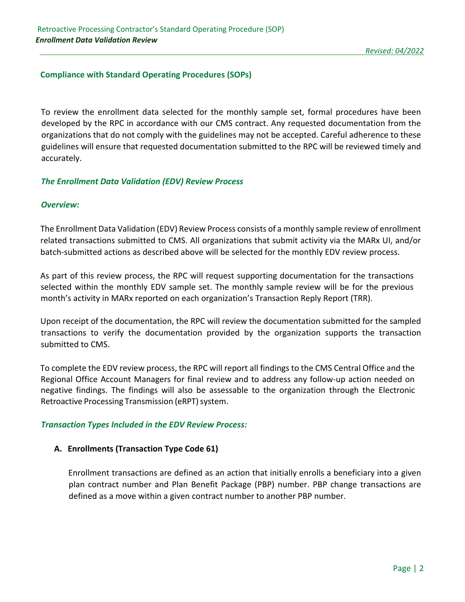# <span id="page-3-0"></span>**Compliance with Standard Operating Procedures (SOPs)**

To review the enrollment data selected for the monthly sample set, formal procedures have been developed by the RPC in accordance with our CMS contract. Any requested documentation from the organizations that do not comply with the guidelines may not be accepted. Careful adherence to these guidelines will ensure that requested documentation submitted to the RPC will be reviewed timely and accurately.

# <span id="page-3-1"></span>*The Enrollment Data Validation (EDV) Review Process*

# <span id="page-3-2"></span>*Overview:*

The Enrollment Data Validation (EDV) Review Process consists of a monthly sample review of enrollment related transactions submitted to CMS. All organizations that submit activity via the MARx UI, and/or batch‐submitted actions as described above will be selected for the monthly EDV review process.

As part of this review process, the RPC will request supporting documentation for the transactions selected within the monthly EDV sample set. The monthly sample review will be for the previous month's activity in MARx reported on each organization's Transaction Reply Report (TRR).

Upon receipt of the documentation, the RPC will review the documentation submitted for the sampled transactions to verify the documentation provided by the organization supports the transaction submitted to CMS.

To complete the EDV review process, the RPC will report all findings to the CMS Central Office and the Regional Office Account Managers for final review and to address any follow‐up action needed on negative findings. The findings will also be assessable to the organization through the Electronic Retroactive Processing Transmission (eRPT) system.

#### <span id="page-3-3"></span>*Transaction Types Included in the EDV Review Process:*

#### **A. Enrollments (Transaction Type Code 61)**

Enrollment transactions are defined as an action that initially enrolls a beneficiary into a given plan contract number and Plan Benefit Package (PBP) number. PBP change transactions are defined as a move within a given contract number to another PBP number.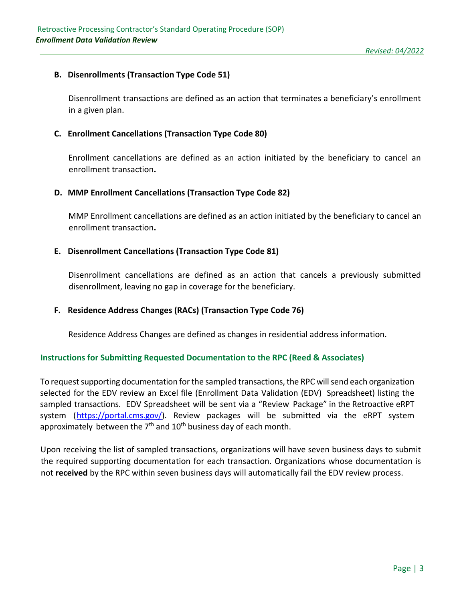# **B. Disenrollments (Transaction Type Code 51)**

Disenrollment transactions are defined as an action that terminates a beneficiary's enrollment in a given plan.

#### **C. Enrollment Cancellations (Transaction Type Code 80)**

Enrollment cancellations are defined as an action initiated by the beneficiary to cancel an enrollment transaction**.**

#### **D. MMP Enrollment Cancellations (Transaction Type Code 82)**

MMP Enrollment cancellations are defined as an action initiated by the beneficiary to cancel an enrollment transaction**.**

# **E. Disenrollment Cancellations (Transaction Type Code 81)**

Disenrollment cancellations are defined as an action that cancels a previously submitted disenrollment, leaving no gap in coverage for the beneficiary.

#### **F. Residence Address Changes (RACs) (Transaction Type Code 76)**

Residence Address Changes are defined as changes in residential address information.

#### <span id="page-4-0"></span>**Instructions for Submitting Requested Documentation to the RPC (Reed & Associates)**

To request supporting documentation for the sampled transactions, the RPC will send each organization selected for the EDV review an Excel file (Enrollment Data Validation (EDV) Spreadsheet) listing the sampled transactions. EDV Spreadsheet will be sent via a "Review Package" in the Retroactive eRPT system (https://portal.cms.gov/). Review packages will be submitted via the eRPT system approximately between the 7<sup>th</sup> and 10<sup>th</sup> business day of each month.

Upon receiving the list of sampled transactions, organizations will have seven business days to submit the required supporting documentation for each transaction. Organizations whose documentation is not **received** by the RPC within seven business days will automatically fail the EDV review process.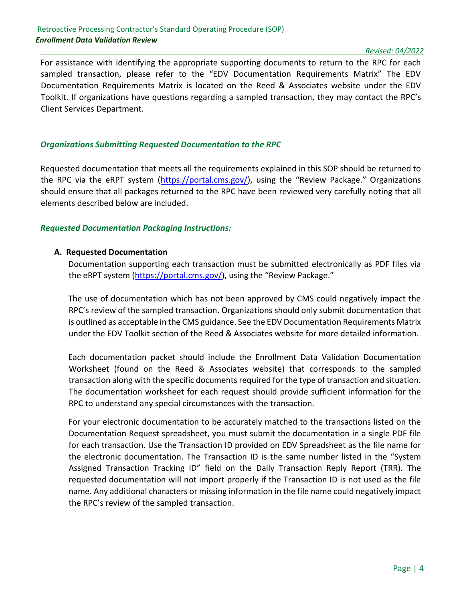#### Retroactive Processing Contractor's Standard Operating Procedure (SOP) *Enrollment Data Validation Review*

For assistance with identifying the appropriate supporting documents to return to the RPC for each sampled transaction, please refer to the "EDV Documentation Requirements Matrix" The EDV Documentation Requirements Matrix is located on the Reed & Associates website under the EDV Toolkit. If organizations have questions regarding a sampled transaction, they may contact the RPC's Client Services Department.

#### <span id="page-5-0"></span>*Organizations Submitting Requested Documentation to the RPC*

Requested documentation that meets all the requirements explained in this SOP should be returned to the RPC via the eRPT system (https://portal.cms.gov/), using the "Review Package." Organizations should ensure that all packages returned to the RPC have been reviewed very carefully noting that all elements described below are included.

#### <span id="page-5-1"></span>*Requested Documentation Packaging Instructions:*

#### **A. Requested Documentation**

Documentation supporting each transaction must be submitted electronically as PDF files via the eRPT system (https://portal.cms.gov/), using the "Review Package."

The use of documentation which has not been approved by CMS could negatively impact the RPC's review of the sampled transaction. Organizations should only submit documentation that is outlined as acceptable in the CMS guidance. See the EDV Documentation Requirements Matrix under the EDV Toolkit section of the Reed & Associates website for more detailed information.

Each documentation packet should include the Enrollment Data Validation Documentation Worksheet (found on the Reed & Associates website) that corresponds to the sampled transaction along with the specific documents required for the type of transaction and situation. The documentation worksheet for each request should provide sufficient information for the RPC to understand any special circumstances with the transaction.

For your electronic documentation to be accurately matched to the transactions listed on the Documentation Request spreadsheet, you must submit the documentation in a single PDF file for each transaction. Use the Transaction ID provided on EDV Spreadsheet as the file name for the electronic documentation. The Transaction ID is the same number listed in the "System Assigned Transaction Tracking ID" field on the Daily Transaction Reply Report (TRR). The requested documentation will not import properly if the Transaction ID is not used as the file name. Any additional characters or missing information in the file name could negatively impact the RPC's review of the sampled transaction.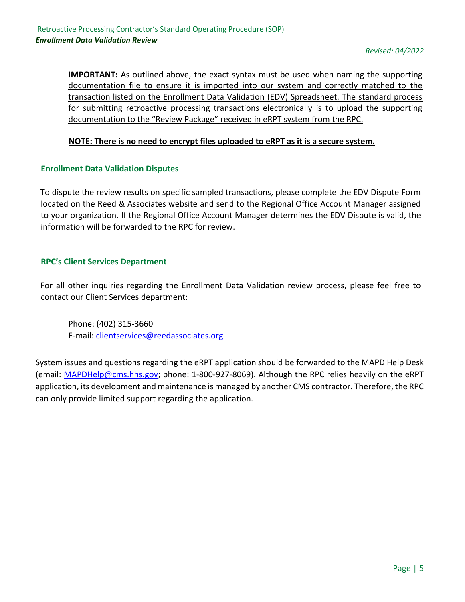**IMPORTANT:** As outlined above, the exact syntax must be used when naming the supporting documentation file to ensure it is imported into our system and correctly matched to the transaction listed on the Enrollment Data Validation (EDV) Spreadsheet. The standard process for submitting retroactive processing transactions electronically is to upload the supporting documentation to the "Review Package" received in eRPT system from the RPC.

# **NOTE: There is no need to encrypt files uploaded to eRPT as it is a secure system.**

# <span id="page-6-0"></span>**Enrollment Data Validation Disputes**

To dispute the review results on specific sampled transactions, please complete the EDV Dispute Form located on the Reed & Associates website and send to the Regional Office Account Manager assigned to your organization. If the Regional Office Account Manager determines the EDV Dispute is valid, the information will be forwarded to the RPC for review.

# <span id="page-6-1"></span>**RPC's Client Services Department**

For all other inquiries regarding the Enrollment Data Validation review process, please feel free to contact our Client Services department:

Phone: (402) 315‐3660 E‐mail: clientservices@reedassociates.org

System issues and questions regarding the eRPT application should be forwarded to the MAPD Help Desk (email: MAPDHelp@cms.hhs.gov; phone: 1‐800‐927‐8069). Although the RPC relies heavily on the eRPT application, its development and maintenance is managed by another CMS contractor. Therefore, the RPC can only provide limited support regarding the application.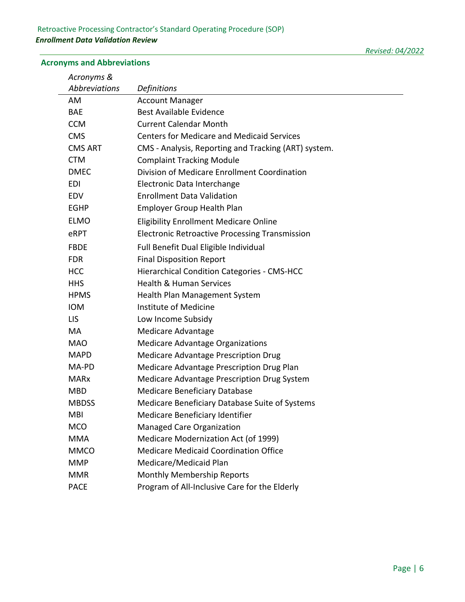# <span id="page-7-0"></span>**Acronyms and Abbreviations**

| Acronyms &     |                                                       |
|----------------|-------------------------------------------------------|
| Abbreviations  | <b>Definitions</b>                                    |
| AM             | <b>Account Manager</b>                                |
| <b>BAE</b>     | Best Available Evidence                               |
| <b>CCM</b>     | <b>Current Calendar Month</b>                         |
| <b>CMS</b>     | <b>Centers for Medicare and Medicaid Services</b>     |
| <b>CMS ART</b> | CMS - Analysis, Reporting and Tracking (ART) system.  |
| <b>CTM</b>     | <b>Complaint Tracking Module</b>                      |
| <b>DMEC</b>    | Division of Medicare Enrollment Coordination          |
| EDI            | Electronic Data Interchange                           |
| EDV            | <b>Enrollment Data Validation</b>                     |
| <b>EGHP</b>    | Employer Group Health Plan                            |
| <b>ELMO</b>    | <b>Eligibility Enrollment Medicare Online</b>         |
| eRPT           | <b>Electronic Retroactive Processing Transmission</b> |
| <b>FBDE</b>    | Full Benefit Dual Eligible Individual                 |
| <b>FDR</b>     | <b>Final Disposition Report</b>                       |
| нcс            | Hierarchical Condition Categories - CMS-HCC           |

| <b>FBDE</b>  | Full Benefit Dual Eligible Individual              |
|--------------|----------------------------------------------------|
| <b>FDR</b>   | <b>Final Disposition Report</b>                    |
| <b>HCC</b>   | <b>Hierarchical Condition Categories - CMS-HCC</b> |
| <b>HHS</b>   | <b>Health &amp; Human Services</b>                 |
| <b>HPMS</b>  | <b>Health Plan Management System</b>               |
| <b>IOM</b>   | Institute of Medicine                              |
| LIS.         | Low Income Subsidy                                 |
| MA           | Medicare Advantage                                 |
| <b>MAO</b>   | <b>Medicare Advantage Organizations</b>            |
| <b>MAPD</b>  | <b>Medicare Advantage Prescription Drug</b>        |
| MA-PD        | Medicare Advantage Prescription Drug Plan          |
| <b>MARx</b>  | Medicare Advantage Prescription Drug System        |
| <b>MBD</b>   | <b>Medicare Beneficiary Database</b>               |
| <b>MBDSS</b> | Medicare Beneficiary Database Suite of Systems     |
| <b>MBI</b>   | Medicare Beneficiary Identifier                    |
| <b>MCO</b>   | Managed Care Organization                          |
| <b>MMA</b>   | Medicare Modernization Act (of 1999)               |
| <b>MMCO</b>  | <b>Medicare Medicaid Coordination Office</b>       |
| <b>MMP</b>   | Medicare/Medicaid Plan                             |
| <b>MMR</b>   | Monthly Membership Reports                         |
| <b>PACE</b>  | Program of All-Inclusive Care for the Elderly      |

*Revised: 04/2022*